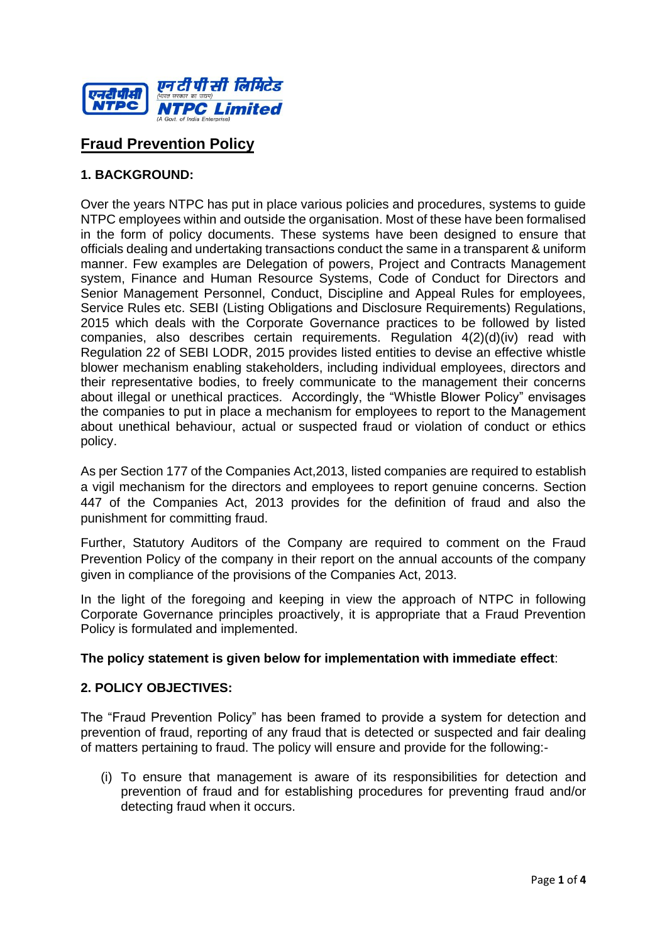

# **Fraud Prevention Policy**

# **1. BACKGROUND:**

Over the years NTPC has put in place various policies and procedures, systems to guide NTPC employees within and outside the organisation. Most of these have been formalised in the form of policy documents. These systems have been designed to ensure that officials dealing and undertaking transactions conduct the same in a transparent & uniform manner. Few examples are Delegation of powers, Project and Contracts Management system, Finance and Human Resource Systems, Code of Conduct for Directors and Senior Management Personnel, Conduct, Discipline and Appeal Rules for employees, Service Rules etc. SEBI (Listing Obligations and Disclosure Requirements) Regulations, 2015 which deals with the Corporate Governance practices to be followed by listed companies, also describes certain requirements. Regulation 4(2)(d)(iv) read with Regulation 22 of SEBI LODR, 2015 provides listed entities to devise an effective whistle blower mechanism enabling stakeholders, including individual employees, directors and their representative bodies, to freely communicate to the management their concerns about illegal or unethical practices. Accordingly, the "Whistle Blower Policy" envisages the companies to put in place a mechanism for employees to report to the Management about unethical behaviour, actual or suspected fraud or violation of conduct or ethics policy.

As per Section 177 of the Companies Act,2013, listed companies are required to establish a vigil mechanism for the directors and employees to report genuine concerns. Section 447 of the Companies Act, 2013 provides for the definition of fraud and also the punishment for committing fraud.

Further, Statutory Auditors of the Company are required to comment on the Fraud Prevention Policy of the company in their report on the annual accounts of the company given in compliance of the provisions of the Companies Act, 2013.

In the light of the foregoing and keeping in view the approach of NTPC in following Corporate Governance principles proactively, it is appropriate that a Fraud Prevention Policy is formulated and implemented.

#### **The policy statement is given below for implementation with immediate effect**:

#### **2. POLICY OBJECTIVES:**

The "Fraud Prevention Policy" has been framed to provide a system for detection and prevention of fraud, reporting of any fraud that is detected or suspected and fair dealing of matters pertaining to fraud. The policy will ensure and provide for the following:-

(i) To ensure that management is aware of its responsibilities for detection and prevention of fraud and for establishing procedures for preventing fraud and/or detecting fraud when it occurs.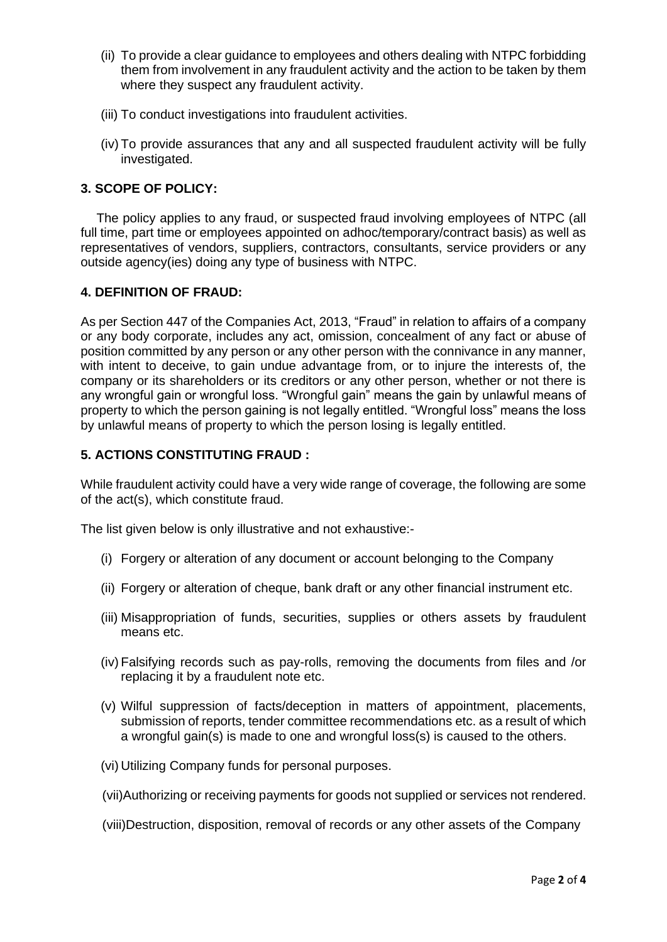- (ii) To provide a clear guidance to employees and others dealing with NTPC forbidding them from involvement in any fraudulent activity and the action to be taken by them where they suspect any fraudulent activity.
- (iii) To conduct investigations into fraudulent activities.
- (iv) To provide assurances that any and all suspected fraudulent activity will be fully investigated.

# **3. SCOPE OF POLICY:**

The policy applies to any fraud, or suspected fraud involving employees of NTPC (all full time, part time or employees appointed on adhoc/temporary/contract basis) as well as representatives of vendors, suppliers, contractors, consultants, service providers or any outside agency(ies) doing any type of business with NTPC.

## **4. DEFINITION OF FRAUD:**

As per Section 447 of the Companies Act, 2013, "Fraud" in relation to affairs of a company or any body corporate, includes any act, omission, concealment of any fact or abuse of position committed by any person or any other person with the connivance in any manner, with intent to deceive, to gain undue advantage from, or to injure the interests of, the company or its shareholders or its creditors or any other person, whether or not there is any wrongful gain or wrongful loss. "Wrongful gain" means the gain by unlawful means of property to which the person gaining is not legally entitled. "Wrongful loss" means the loss by unlawful means of property to which the person losing is legally entitled.

## **5. ACTIONS CONSTITUTING FRAUD :**

While fraudulent activity could have a very wide range of coverage, the following are some of the act(s), which constitute fraud.

The list given below is only illustrative and not exhaustive:-

- (i) Forgery or alteration of any document or account belonging to the Company
- (ii) Forgery or alteration of cheque, bank draft or any other financial instrument etc.
- (iii) Misappropriation of funds, securities, supplies or others assets by fraudulent means etc.
- (iv) Falsifying records such as pay-rolls, removing the documents from files and /or replacing it by a fraudulent note etc.
- (v) Wilful suppression of facts/deception in matters of appointment, placements, submission of reports, tender committee recommendations etc. as a result of which a wrongful gain(s) is made to one and wrongful loss(s) is caused to the others.
- (vi) Utilizing Company funds for personal purposes.
- (vii)Authorizing or receiving payments for goods not supplied or services not rendered.
- (viii)Destruction, disposition, removal of records or any other assets of the Company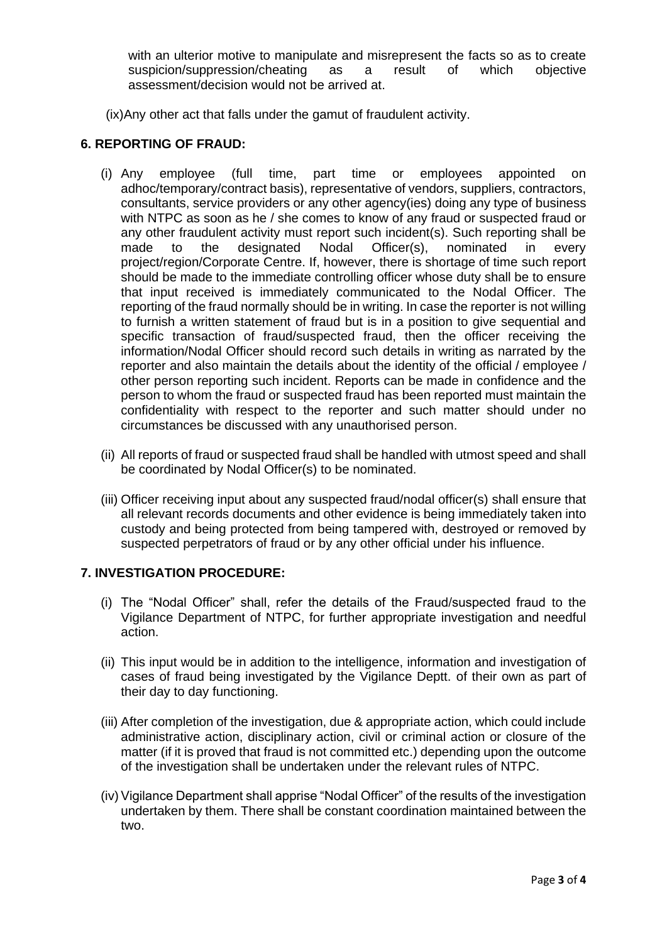with an ulterior motive to manipulate and misrepresent the facts so as to create suspicion/suppression/cheating as a result of which objective assessment/decision would not be arrived at.

(ix)Any other act that falls under the gamut of fraudulent activity.

## **6. REPORTING OF FRAUD:**

- (i) Any employee (full time, part time or employees appointed on adhoc/temporary/contract basis), representative of vendors, suppliers, contractors, consultants, service providers or any other agency(ies) doing any type of business with NTPC as soon as he / she comes to know of any fraud or suspected fraud or any other fraudulent activity must report such incident(s). Such reporting shall be made to the designated Nodal Officer(s), nominated in every project/region/Corporate Centre. If, however, there is shortage of time such report should be made to the immediate controlling officer whose duty shall be to ensure that input received is immediately communicated to the Nodal Officer. The reporting of the fraud normally should be in writing. In case the reporter is not willing to furnish a written statement of fraud but is in a position to give sequential and specific transaction of fraud/suspected fraud, then the officer receiving the information/Nodal Officer should record such details in writing as narrated by the reporter and also maintain the details about the identity of the official / employee / other person reporting such incident. Reports can be made in confidence and the person to whom the fraud or suspected fraud has been reported must maintain the confidentiality with respect to the reporter and such matter should under no circumstances be discussed with any unauthorised person.
- (ii) All reports of fraud or suspected fraud shall be handled with utmost speed and shall be coordinated by Nodal Officer(s) to be nominated.
- (iii) Officer receiving input about any suspected fraud/nodal officer(s) shall ensure that all relevant records documents and other evidence is being immediately taken into custody and being protected from being tampered with, destroyed or removed by suspected perpetrators of fraud or by any other official under his influence.

#### **7. INVESTIGATION PROCEDURE:**

- (i) The "Nodal Officer" shall, refer the details of the Fraud/suspected fraud to the Vigilance Department of NTPC, for further appropriate investigation and needful action.
- (ii) This input would be in addition to the intelligence, information and investigation of cases of fraud being investigated by the Vigilance Deptt. of their own as part of their day to day functioning.
- (iii) After completion of the investigation, due & appropriate action, which could include administrative action, disciplinary action, civil or criminal action or closure of the matter (if it is proved that fraud is not committed etc.) depending upon the outcome of the investigation shall be undertaken under the relevant rules of NTPC.
- (iv) Vigilance Department shall apprise "Nodal Officer" of the results of the investigation undertaken by them. There shall be constant coordination maintained between the two.